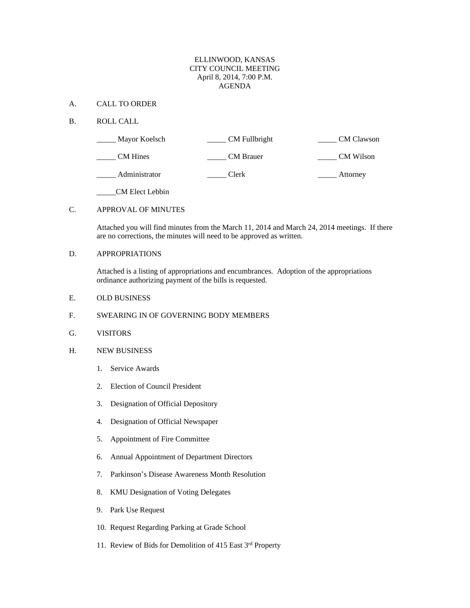#### ELLINWOOD, KANSAS CITY COUNCIL MEETING April 8, 2014, 7:00 P.M. AGENDA

#### A. CALL TO ORDER

#### B. ROLL CALL

| Mayor Koelsch   | CM Fullbright | <b>CM</b> Clawson |
|-----------------|---------------|-------------------|
| <b>CM</b> Hines | CM Brauer     | CM Wilson         |
| Administrator   | Clerk         | Attorney          |

\_\_\_\_\_CM Elect Lebbin

## C. APPROVAL OF MINUTES

Attached you will find minutes from the March 11, 2014 and March 24, 2014 meetings. If there are no corrections, the minutes will need to be approved as written.

# D. APPROPRIATIONS

Attached is a listing of appropriations and encumbrances. Adoption of the appropriations ordinance authorizing payment of the bills is requested.

E. OLD BUSINESS

### F. SWEARING IN OF GOVERNING BODY MEMBERS

- G. VISITORS
- H. NEW BUSINESS
	- 1. Service Awards
	- 2. Election of Council President
	- 3. Designation of Official Depository
	- 4. Designation of Official Newspaper
	- 5. Appointment of Fire Committee
	- 6. Annual Appointment of Department Directors
	- 7. Parkinson's Disease Awareness Month Resolution
	- 8. KMU Designation of Voting Delegates
	- 9. Park Use Request
	- 10. Request Regarding Parking at Grade School
	- 11. Review of Bids for Demolition of 415 East 3rd Property